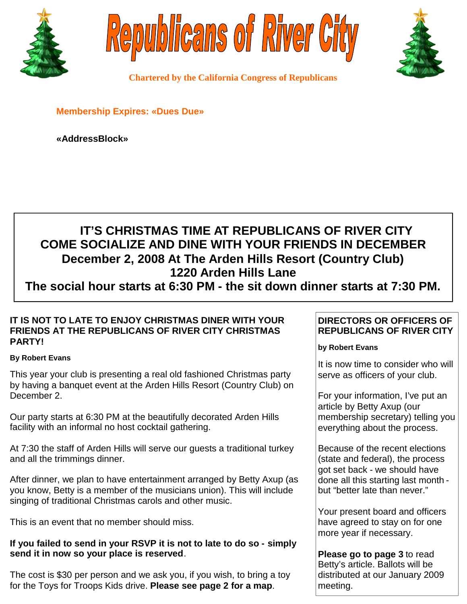





**Chartered by the California Congress of Republicans**

**Membership Expires: «Dues Due»**

**«AddressBlock»**

# **IT'S CHRISTMAS TIME AT REPUBLICANS OF RIVER CITY COME SOCIALIZE AND DINE WITH YOUR FRIENDS IN DECEMBER December 2, 2008 At The Arden Hills Resort (Country Club) 1220 Arden Hills Lane**

**The social hour starts at 6:30 PM - the sit down dinner starts at 7:30 PM.**

# **IT IS NOT TO LATE TO ENJOY CHRISTMAS DINER WITH YOUR FRIENDS AT THE REPUBLICANS OF RIVER CITY CHRISTMAS PARTY!**

### **By Robert Evans**

This year your club is presenting a real old fashioned Christmas party by having a banquet event at the Arden Hills Resort (Country Club) on December 2.

Our party starts at 6:30 PM at the beautifully decorated Arden Hills facility with an informal no host cocktail gathering.

At 7:30 the staff of Arden Hills will serve our guests a traditional turkey and all the trimmings dinner.

After dinner, we plan to have entertainment arranged by Betty Axup (as you know, Betty is a member of the musicians union). This will include singing of traditional Christmas carols and other music.

This is an event that no member should miss.

# **If you failed to send in your RSVP it is not to late to do so - simply send it in now so your place is reserved**.

The cost is \$30 per person and we ask you, if you wish, to bring a toy for the Toys for Troops Kids drive. **Please see page 2 for a map**.

# **DIRECTORS OR OFFICERS OF REPUBLICANS OF RIVER CITY**

# **by Robert Evans**

It is now time to consider who will serve as officers of your club.

For your information, I've put an article by Betty Axup (our membership secretary) telling you everything about the process.

Because of the recent elections (state and federal), the process got set back - we should have done all this starting last month but "better late than never."

Your present board and officers have agreed to stay on for one more year if necessary.

**Please go to page 3** to read Betty's article. Ballots will be distributed at our January 2009 meeting.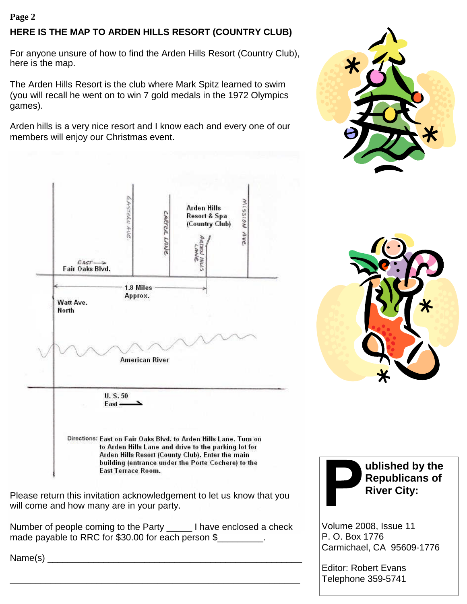### **Page 2**

# **HERE IS THE MAP TO ARDEN HILLS RESORT (COUNTRY CLUB)**

For anyone unsure of how to find the Arden Hills Resort (Country Club), here is the map.

The Arden Hills Resort is the club where Mark Spitz learned to swim (you will recall he went on to win 7 gold medals in the 1972 Olympics games).

Arden hills is a very nice resort and I know each and every one of our members will enjoy our Christmas event.



Please return this invitation acknowledgement to let us know that you will come and how many are in your party.

Number of people coming to the Party \_\_\_\_\_ I have enclosed a check made payable to RRC for \$30.00 for each person \$

\_\_\_\_\_\_\_\_\_\_\_\_\_\_\_\_\_\_\_\_\_\_\_\_\_\_\_\_\_\_\_\_\_\_\_\_\_\_\_\_\_\_\_\_\_\_\_\_\_\_\_\_\_\_\_\_\_

Name(s)







**ublished by the Republicans of River City:**

Volume 2008, Issue 11 P. O. Box 1776 Carmichael, CA 95609-1776

Editor: Robert Evans Telephone 359-5741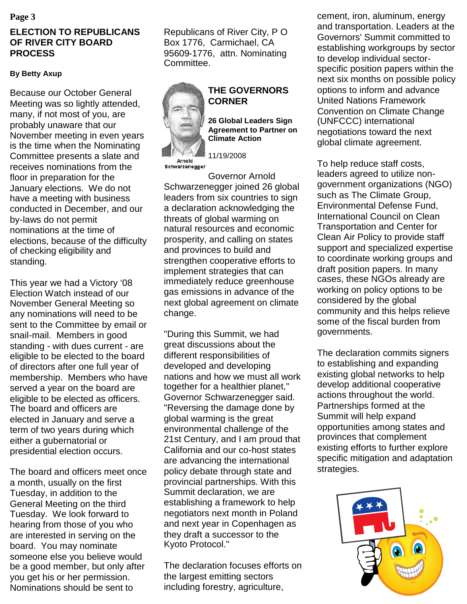# **ELECTION TO REPUBLICANS OF RIVER CITY BOARD PROCESS**

# **By Betty Axup**

Because our October General Meeting was so lightly attended, many, if not most of you, are probably unaware that our November meeting in even years is the time when the Nominating Committee presents a slate and receives nominations from the floor in preparation for the January elections. We do not have a meeting with business conducted in December, and our by-laws do not permit nominations at the time of elections, because of the difficulty of checking eligibility and standing.

This year we had a Victory '08 Election Watch instead of our November General Meeting so any nominations will need to be sent to the Committee by email or snail-mail. Members in good standing - with dues current - are eligible to be elected to the board of directors after one full year of membership. Members who have served a year on the board are eligible to be elected as officers. The board and officers are elected in January and serve a term of two years during which either a gubernatorial or presidential election occurs.

The board and officers meet once a month, usually on the first Tuesday, in addition to the General Meeting on the third Tuesday. We look forward to hearing from those of you who are interested in serving on the board. You may nominate someone else you believe would be a good member, but only after you get his or her permission. Nominations should be sent to

Republicans of River City, P O Box 1776, Carmichael, CA 95609-1776, attn. Nominating Committee.



# **THE GOVERNORS CORNER**

**26 Global Leaders Sign Agreement to Partner on Climate Action**

11/19/2008

Governor Arnold Schwarzenegger joined 26 global leaders from six countries to sign a declaration acknowledging the threats of global warming on natural resources and economic prosperity, and calling on states and provinces to build and strengthen cooperative efforts to implement strategies that can immediately reduce greenhouse gas emissions in advance of the next global agreement on climate change.

"During this Summit, we had great discussions about the different responsibilities of developed and developing nations and how we must all work together for a healthier planet," Governor Schwarzenegger said. "Reversing the damage done by global warming is the great environmental challenge of the 21st Century, and I am proud that California and our co-host states are advancing the international policy debate through state and provincial partnerships. With this Summit declaration, we are establishing a framework to help negotiators next month in Poland and next year in Copenhagen as they draft a successor to the Kyoto Protocol."

The declaration focuses efforts on the largest emitting sectors including forestry, agriculture,

**Page 3** cement, iron, aluminum, energy and transportation. Leaders at the Governors' Summit committed to establishing workgroups by sector to develop individual sectorspecific position papers within the next six months on possible policy options to inform and advance United Nations Framework Convention on Climate Change (UNFCCC) international negotiations toward the next global climate agreement.

> To help reduce staff costs, leaders agreed to utilize nongovernment organizations (NGO) such as The Climate Group, Environmental Defense Fund, International Council on Clean Transportation and Center for Clean Air Policy to provide staff support and specialized expertise to coordinate working groups and draft position papers. In many cases, these NGOs already are working on policy options to be considered by the global community and this helps relieve some of the fiscal burden from governments.

> The declaration commits signers to establishing and expanding existing global networks to help develop additional cooperative actions throughout the world. Partnerships formed at the Summit will help expand opportunities among states and provinces that complement existing efforts to further explore specific mitigation and adaptation strategies.